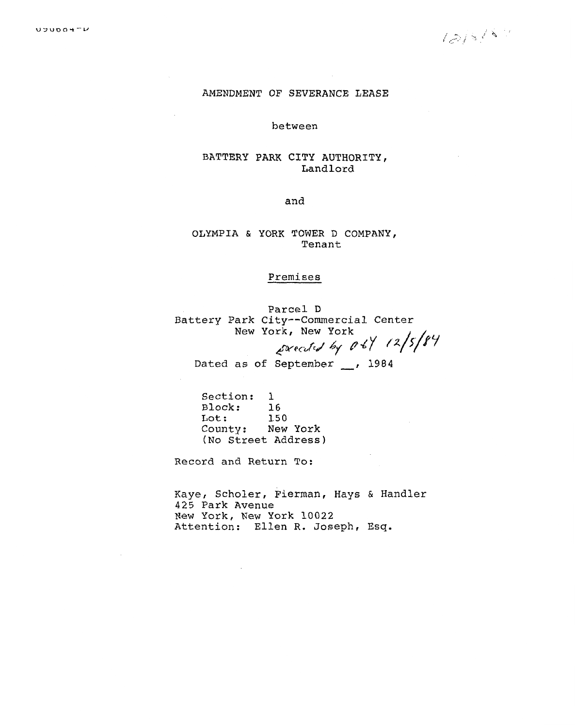# **AMENDMENT OF SEVERANCE LEASE**

**between** 

# **BATTERY PARK CITY AUTHORITY, Landlord**

**and** 

**OLYMPIA** & **YORK** TOWER **D COMPANY, Tenant** 

# Premises

**Parcel D**  Battery Park City--Commercial Center New **York,** New **York**  Dated as **of September** , **<sup>1984</sup>**  $\epsilon$  $-$ ,  $0<sup>2</sup>$ 

**Section: 1**  Block: **16 Lot** : **<sup>150</sup>** County: **New York (No Street Address)** 

**Record and Return To:** 

**Kaye, Scholer, Fierman, Hays** *6* **Handler 425 Park Avenue New York, New York 10022 Attention: Ellen R.** Joseph, **Esq.**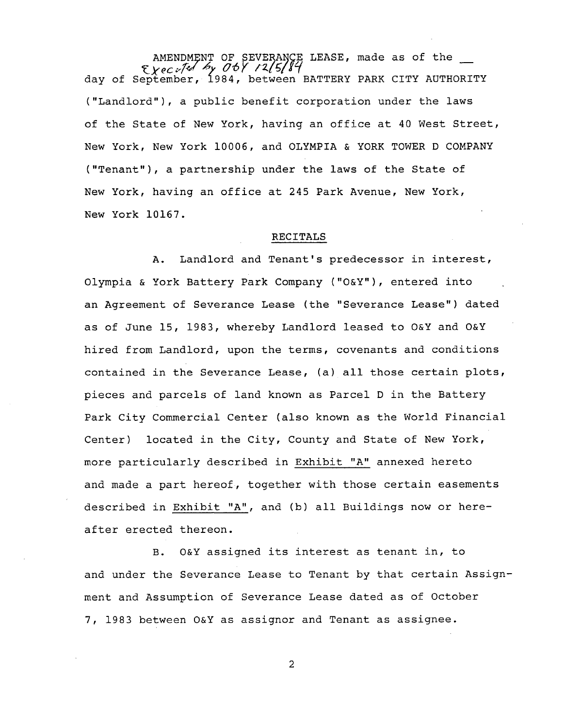AMENDMENT OF SEVERANCE LEASE, made as of the day or September, 1984, between BATTERY PARK CITY AUTHORI ("Landlord"), a public benefit corporation under the laws of the State of New York, having an office at 40 West Street, New York, New York 10006, and OLYMPIA & YORK TOWER D COMPANY ("Tenant"), a partnership under the laws of the State of New York, having an office at 245 Park Avenue, New York, New York 10167.

### RECITALS

A. Landlord and Tenant's predecessor in interest, Olympia & York Battery Park Company ("O&Y"), entered into an Agreement of Severance Lease (the "Severance Lease") dated as of June 15, 1983, whereby Landlord leased to O&Y and O&Y hired from Landlord, upon the terms, covenants and conditions contained in the Severance Lease, (a) all those certain plots, pieces and parcels of land known as Parcel D in the Battery Park City Commercial Center (also known as the World Financial Center) located in the City, County and State of New York, more particularly described in Exhibit "A" annexed hereto and made a part hereof, together with those certain easements described in Exhibit "A", and (b) all Buildings now or hereafter erected thereon.

B. O&Y assigned its interest as tenant in, to and under the Severance Lease to Tenant by that certain Assignment and Assumption of Severance Lease dated as of October 7, 1983 between O&Y as assignor and Tenant as assignee.

2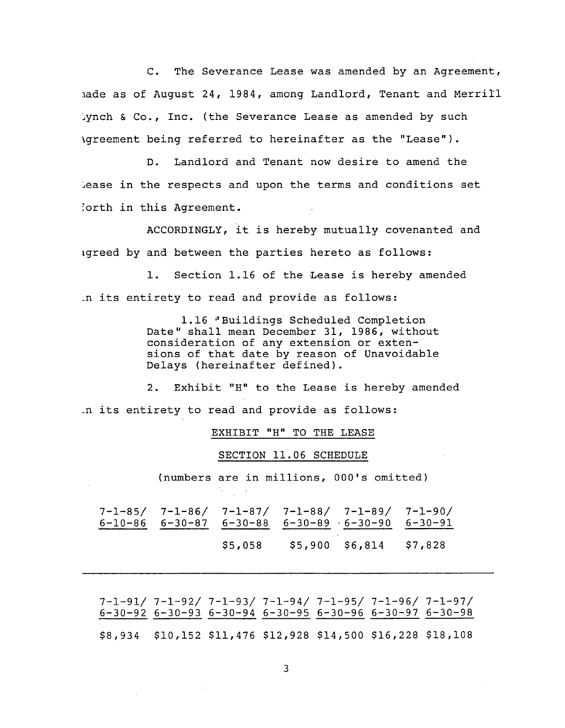C. The Severance Lease was amended by an Agreement, \_ade as of August 24, 1984, among Landlord, Tenant and Merrill \_ynch & Co., Inc. (the Severance Lease as amended by such Agreement being referred to hereinafter as the "Lease").

D. Landlord and Tenant now desire to amend the \_ease in the respects and upon the terms and conditions set !orth in this Agreement.

ACCORDINGLY, it is hereby mutually covenanted and Lgreed by and between the parties hereto as follows:

i. Section 1.16 of the Lease is hereby amended .n its entirety to read and provide as follows:

> 1.16 'Buildings Scheduled Completion Date" shall mean December 31, 1986, without consideration of any extension or extensions of that date by reason of Unavoidable Delays (hereinafter defined).

2. Exhibit "H" to the Lease is hereby amended .n its entirety to read and provide as follows:

EXHIBIT "H" TO THE LEASE

#### SECTION 11.06 SCHEDULE

(numbers are in millions, 000's omitted)

|  |         | $7-1-85/$ $7-1-86/$ $7-1-87/$ $7-1-88/$ $7-1-89/$ $7-1-90/$<br>$6-10-86$ $6-30-87$ $6-30-88$ $6-30-89$ $6-30-90$ $6-30-91$ |  |
|--|---------|----------------------------------------------------------------------------------------------------------------------------|--|
|  | \$5,058 | \$5,900 \$6,814 \$7,828                                                                                                    |  |

7-1-91/ 7-1-92/ 7-1-93/ 7-1-94/ 7-1-95/ 7-1-96/ 7-1-97/ 6-30-92 6-30-93 6-30-94 6-30-95 6-30-96 6-30-97 6-30-98 \$8,934 \$i0,152 \$11,476 \$12,928 \$14,500 \$16,228 \$18,108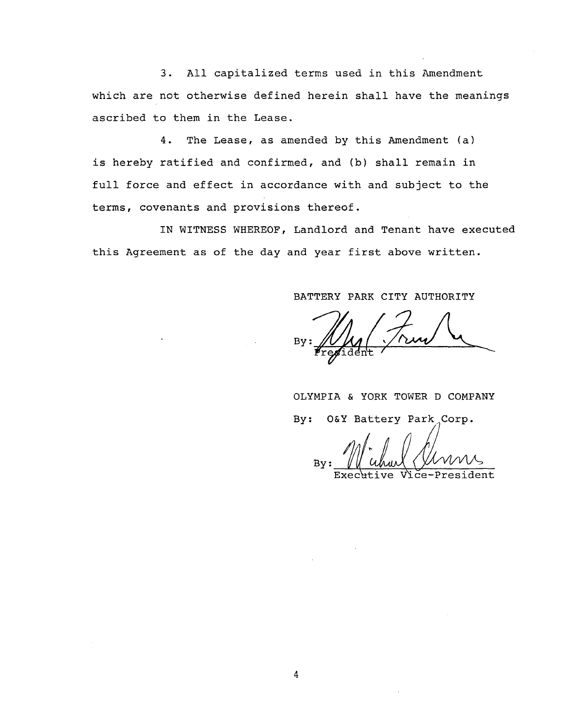3. All capitalized terms used in this Amendment which are not otherwise defined herein shall have the meanings ascribed to them in the Lease.

4. The Lease, as amended by this Amendment (a) is hereby ratified and confirmed, and (b) shall remain in full force and effect in accordance with and subject to the terms, covenants and provisions thereof.

IN WITNESS WHEREOF, Landlord and Tenant have executed this Agreement as of the day and year first above written.

# BATTERY PARK CITY AUTHORITY

 $By:$  $\mathcal U$  //  $\mathcal U$  //  $\mathcal U$  //  $\mathcal U$  //  $\mathcal U$  //  $\mathcal U$  //  $\mathcal U$  //  $\mathcal U$  //  $\mathcal U$  //  $\mathcal U$  //  $\mathcal U$  //  $\mathcal U$  //  $\mathcal U$  //  $\mathcal U$  //  $\mathcal U$  //  $\mathcal U$  //  $\mathcal U$  //  $\mathcal U$  //  $\mathcal U$  //  $\mathcal U$  //  $\mathcal U$  //  $\mathcal U$  //

OLYMPIA & YORK TOWER D COMPANY By: O&Y Battery Park Corp.

**By** 

Executive Vice-Presid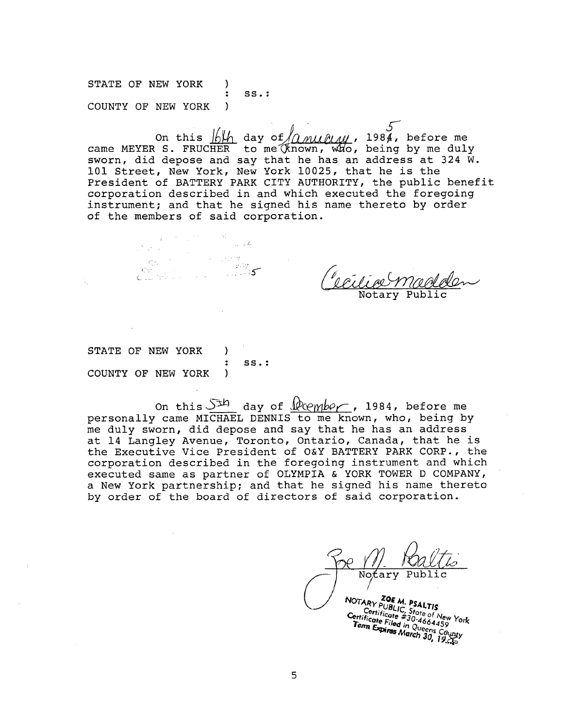STATE OF NEW YORK ) : SS.: COUNTY OF NEW YORK )

On this  $\frac{1}{10}$  day of  $\frac{1}{2}$   $\frac{1}{4}$ , 1984, before me came MEYER S. FRUCHER to me (known, who, being by me duly sworn, did depose and say that he has an address at 324 W. 101 Street, New York, New York 10025, that he is the President of BATTERY PARK CITY AUTHORITY, the public benefit corporation described in and which executed the foregoing instrument; and that he signed his name thereto by order of the members of said corporation.

.**.**- **-**: (**-..** C. : .. \_

Notary Publi

STATE OF NEW YORK ) : SS.: COUNTY OF NEW YORK )

 $\mathbf{z} \in \mathbb{R}^{n \times d}$  . In the  $\mathbb{R}^{d \times d}$ 

 $\Lambda$ . On this  $\frac{d}{dx}$  day of  $\frac{d}{dx}$  (here is no or  $\frac{d}{dx}$ , here me personally came MICHAEL DENNIS to me known, who, being by me duly sworn, did depose and say that he has an address at 14 Langley Avenue, Toronto, Ontario, Canada, that he is the Executive Vice President of O&Y BATTERY PARK CORP., the corporation described in the foregoing instrument and which executed same as partner of OLYMPIA & YORK TOWER D COMPANY, a New York partnership; and that he signed his name thereto by order of the board of directors of said corporation.

**Friticate** #30-4664459<br>Tema Explore Filed in Queens Co.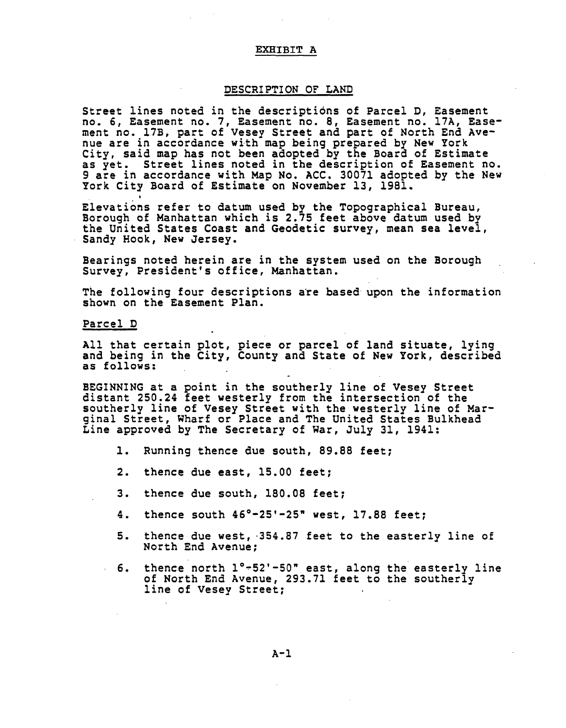#### **EXIIIBIT A**

#### **DESCRIPTION OF LAND**

**S**treet l**i**n**e**s not**ed i**n t**h**e **d**es**c**rip**t**ions o**f P**ar**ce**l **D, E**asement no. **6**, **E**asement no. 7, **E**as**e**ment no. 8, **E**asem**e**nt no. 17A, **E**asem**e**nt no. 17B, **p**art of Ves**e**y Str**e**e**t** an**d pa**rt o**f** North **E**n**d** Av**e**nue are in ac**c**or**d**anc**e** wi**t**h map b**ei**ng **p**r**e**p**a**r**ed** by New **Y**ork **Cit**y, sai**d** map has not been adopte**d** by th**e** Boar**d** o**f E**s**t**imat**e** as **y**e**t**. S**t**ree**t** l**i**n**e**s no**t**e**d i**n the **de**s**c**rip**t**ion of **E**asem**e**n**t** no. 9 are **i**n ac**c**or**d**anc**e** w**i**th Map No. ACC. **3**0071 a**d**op**ted** by th**e** N**e**w York City Boar**d** o**f E**st**i**m**ate** on No**ve**mber 1**3**, 1981.

**E** levati6ns re**f**er to **d**a**t**um use**d** by the Topographical Bureau, Borough o**f** Manha**t**t**a**n whi**c**h is **2**.75 **fee**t a**b**ove **d**atum us**ed** by th**e** Uni**t**e**d** S**t**ates **C**oast an**d Geodetic** sur**ve**y, m**e**an s**e**a **le**vel, **S**an**d**y **H**ook, N**e**w **Je**rse**y**.

B**ea**rings n**o**t**ed he**r**e**in **are** in t**he** sys**te**m **u**s**ed** on **the B**orou**g**h Surv**ey**, **Pre**si**d**en**t**'s o**ff**i**ce**, Manhattan.

Th**e f**ollowing **f**our **de**scri**p**tions ar**e** bas**e**d upon the **i**n**f**orma**ti**on shown on th**e E**as**e**m**e**nt **P**lan.

**Parcel D**

All that certain plot, **p**iece or parcel of lan**d** si**t**uate, lying **a**n**d be**ing in t**he** C**i**t**y**, Count**y a**n**d Sta**te o**f** N**ew Y**ork, **de**s**c**r**ibed a**s **f**ollows:

B**EGI**NN**I**NG at a po**i**nt in **t**he southerl**y** l**i**ne o**f** Vesey **S**tre**e**t **di**stant **2**50.**2**4 **f**eet westerl**y f**rom the **i**ntersect**i**on o**f** the southerl**y** l**i**ne o**f** Vese**y** Street w**it**h **t**he westerly l**i**ne o**f** Marg**i**nal Stree**t**, Whar**f** or **P**la**c**e an**d** The Unite**d** S**t**at**e**s Bulkh**e**a**d Li**n**e** approve**d** b**y** The S**e**cret**a**r**y** o**f** War, July **3**1, 1941:

- **I**. **R**unnin**g** then**c**e du**e** south, 89.88 **f**eet;
- **2**. **t**hen**c**e **d**ue east, 1**5**.00 **fe**et;
- **3**. **t**hen**c**e due sou**t**h, 180.08 **fe**e**t**;
- **4**. then**c**e sou**t**h 4**6**°-**25**'-**2**5**"** west, 17.**8**8 **f**eet;
- 5. **t**hen**c**e **d**ue west, **3**54.87 **f**eet to **t**he easterly line o**f** Nor**t**h **E**n**d** Avenue;
- **6**. **th**en**c**e n**o**rth **i**°-**52**'**-50**" east, along the easterly line o**f** Nor**t**h **E**n**d** Av**e**nue, **2**9**3**.71 f**e**e**t** t**o** the southerly line o**f** Vesey Street;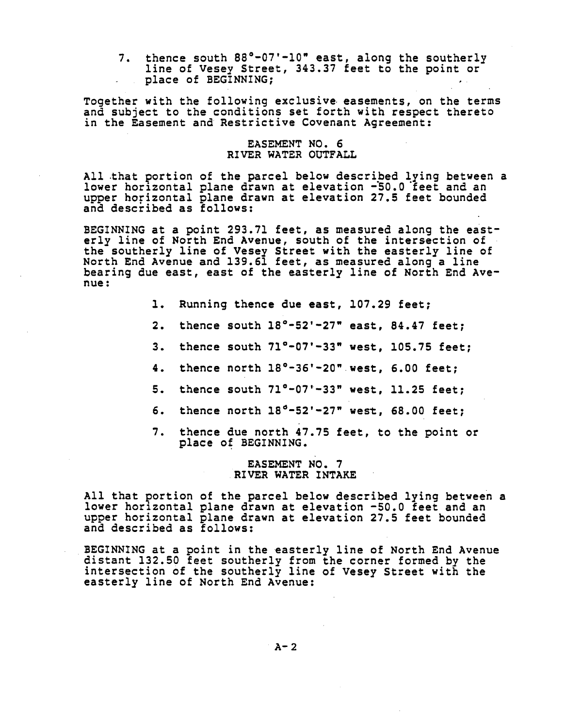7. thence south 88°-07'-10" east, along the southerly line o**f** Vesey Street, 34**3**.37 feet to the point or place of B**E**G**I**NNING; .

Together with the following exclusive easements, on the terms and subject to the conditions set forth with respect thereto in the **E**asement an**d** Restrictive Covenant Agreement:

# **E**AS**E**M**E**NT NO. 6 R**I**V**E**R WAT**E**R O**U**TFALL

All that portion of the parcel below **d**escribed lying between a lower horizontal plane drawn at elevation -50.0 feet and an upper horizontal plane **d**rawn at elevation **2**7.**5** feet boun**d**e**d** an**d d**escr**i**be**d** as follows:

BEGINNING at a point **2**93.71 **f**eet, as measured along **t**he easterly line o**f** North **E**n**d** Avenue, south o**f** the intersection o**f** the southerly line of Vesey Street with **t**he easterly line of North **E**nd Avenue and 139.**6**1 feet, as measure**d** along a line bearing **d**ue east, east o**f** the easterly line o**f** North **E**n**d** Aven**u**e :

- 1. **R**unning thence due east, i07.**2**9 **f**eet;
- **2**. thence south 18**°**-5**2**'-**2**7**"** east, 84.47 **f**eet;
- **3**. thence south 71**°**-07'-**3**3" west, 105.75 **f**eet;
- 4. thence north 18°-36'-**2**0" west, **6**.00 **f**eet;
- 5. thence south 71**°**-07'-**33**" west, 11.**2**5 feet;
- 6. thence north 18\_-5**2**'-**2**7" wesz, 68.00 feet;
- 7. thence **d**ue north 47.75 **f**eet, to the point or place o**f** B**E**GINN**I**NG.

### **E**AS**E**MENT NO. 7 **R**IV**E**R WAT**E**R INTAK**E**

All that portion of the parcel below **d**escribed lying between a lower horizontal plane drawn at elevation -50.0 **f**eet an**d** an upper horizontal plane **d**rawn at elevation 27.5 feet bounded and described as follows:

B**EG**INN**I**N**G** a**t a** p**o**in**t** in t**he** easterly **li**n**e** o**f** N**o**rth **E**n**d** Av**e**nu**e d**is**t**an**t 132**.50 **f**eet southerly **f**rom the **c**orner **f**orme**d** by the intersection o**f t**he sou**t**herly l**i**ne o**f** Vesey Street with the easterly lin**e** of Nor**t**h **E**n**d** Avenue:

 $A - 2$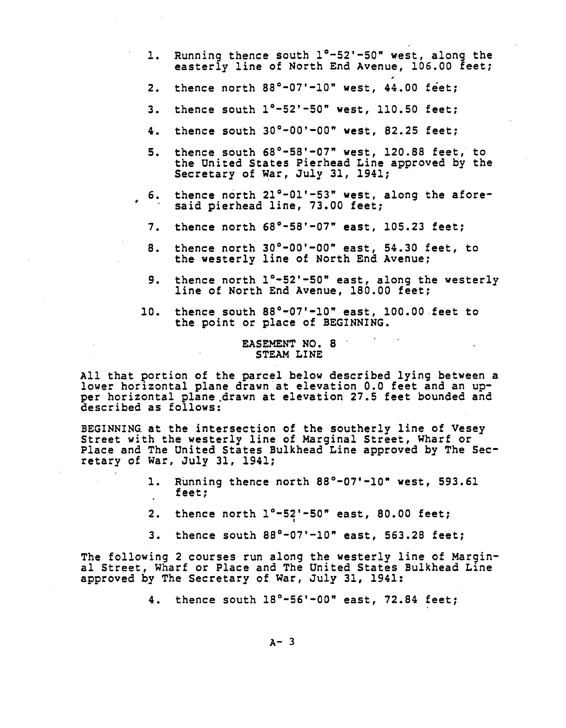- $1.$ Running thence south 1°-52'-50" west, along the easterly line of North End Avenue, 106.00 feet:
- thence north 88°-07'-10" west, 44.00 feet;  $2.$
- thence south  $1^\circ$ -52'-50" west, 110.50 feet;  $3.$
- thence south  $30^{\circ}-00^{\prime}-00^{\prime\prime}$  west, 82.25 feet;  $4.$
- thence south 68°-58'-07" west, 120.88 feet, to  $5.$ the United States Pierhead Line approved by the Secretary of War, July 31, 1941;
- thence north 21°-01'-53" west, along the afore-6. said pierhead line, 73.00 feet;
- thence north  $68^{\circ} 58' 07''$  east, 105.23 feet;  $7.$
- thence north 30°-00'-00" east, 54.30 feet, to<br>the westerly line of North End Avenue; 8.
- thence north 1°-52'-50" east, along the westerly 9. line of North End Avenue, 180.00 feet;
- thence south 88°-07'-10" east, 100.00 feet to  $10.$ the point or place of BEGINNING.

# EASEMENT NO. 8 STEAM LINE

All that portion of the parcel below described lying between a lower horizontal plane drawn at elevation 0.0 feet and an upper horizontal plane drawn at elevation 27.5 feet bounded and described as follows:

BEGINNING at the intersection of the southerly line of Vesey Street with the westerly line of Marginal Street, Wharf or Place and The United States Bulkhead Line approved by The Secretary of War, July 31, 1941;

- $1.$ Running thence north  $88^{\circ}$ -07'-10" west, 593.61 feet;
- thence north  $1^{\circ}-52^{\circ}-50^{\circ}$  east, 80.00 feet;  $2.$
- 3. thence south  $88^{\circ} 07' 10''$  east, 563.28 feet;

The following 2 courses run along the westerly line of Marginal Street, Wharf or Place and The United States Bulkhead Line approved by The Secretary of War, July 31, 1941:

4. thence south 18°-56'-00" east, 72.84 feet;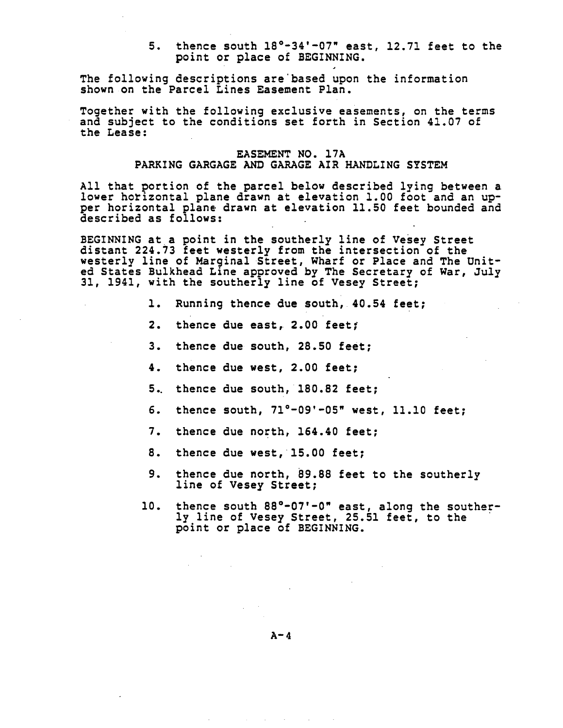5. thence south 18°-34'-07" east, 12.71 feet to the point or place of BEGINNING.

The following descriptions are based upon the information shown on the Parcel Lines Easement Plan.

Together with the following exclusive easements, on the terms and subject to the conditions set forth in Section 41.07 of the Lease:

# EASEMENT NO. 17A PARKING GARGAGE AND GARAGE AIR HANDLING SYSTEM

All that portion of the parcel below described lying between a lower horizontal plane drawn at elevation 1.00 foot and an upper horizontal plane drawn at elevation 11.50 feet bounded and described as follows:

BEGINNING at a point in the southerly line of Vesey Street distant 224.73 feet westerly from the intersection of the westerly line of Marginal Street, Wharf or Place and The United States Bulkhead Line approved by The Secretary of War, July 31, 1941, with the southerly line of Vesey Street;

- 1. Running thence due south, 40.54 feet;
- $2.$ thence due east, 2.00 feet;
- 3. thence due south. 28.50 feet:
- 4. thence due west, 2.00 feet;
- 5. thence due south, 180.82 feet;
- thence south, 71°-09'-05" west, 11.10 feet; 6.
- 7. thence due north, 164.40 feet;
- 8. thence due west, 15.00 feet;
- 9. thence due north, 89.88 feet to the southerly line of Vesey Street;
- 10. thence south 88°-07'-0" east, along the southerly line of Vesey Street, 25.51 feet, to the point or place of BEGINNING.

 $A - 4$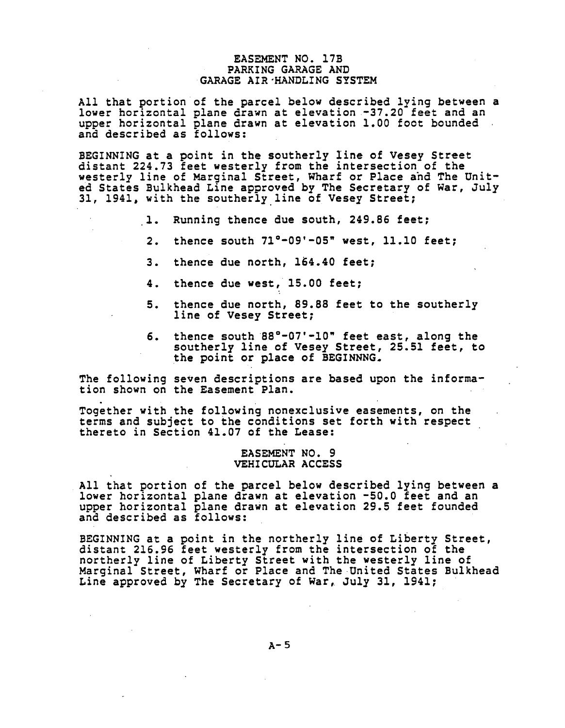## **E**AS**EME**N**T** NO. **1**7B **PA**RK**I**N**G GA**R**AGE AND** •GARAGE A**IR**-**HA**N**DLI**N**G** S**Y**S**TE**M

**All** t**hat po**rt**io**n **of the pa**r**cel below d**e**sc**r**ibed ly**in**g be**t**wee**n **a** l**owe**r **ho**r**izo**nt**al pla**n**e d**r**aw**n **a**t e**leva**tion **-37.20 fee**t **a**n**d a**n **up**p**e**r **ho**ri**zo**nta**l** pl**a**ne **d**r**aw**n **a**t **elevati**on 1**.00 fo**ot **bou**n**ded a**n**d d**es**c**ri**bed a**s **foll**o**ws**:

**BEGI**N**NING a**t **a p**o**i**n**t** i**n the** s**o**u**the**r**ly** \_**ine** o**f** Ves**ey** Stre**e**t **d**ist**a**nt **224**.**73 fee**t **we**st**e**r**ly f**ro**m** t**he in**t**e**rs**ec**t**io**n **of** t**he we**st**e**rly lin**e** o**f Ma**r**gi**n**a**l Stre**e**t**, Wha**r**f** or **Place ah**d **Th**e **U**ni**ted** S**ta**t**es** B**ulkhead Li**n**e ap**pro**ved** by **The** Se**c**r**e**t**a**ry o**f Wa**r**, ju**ly **3**1**,** 1**9**41, **w**i**th** t**h**e **s**o**u**t**h**er**l**y l**i**n**e** o**f** V**e**s**e**y Str**ee**t**;**

- **i.** Runn**i**n**g** t**he**n**ce** du**e** s**o**u**th, 2**4**9.86 fe**et;
- **2. the**n**ce s**ou**th** 7**1**=**-09'-05" we**st**, 11.10 fee**t**;**
- **3. the**n**ce** du**e** nort**h,** 1**6**4**.**40 **feet;**
- **4. the**n**ce** du**e we**st**, 15.00 feet;**
- **5**. **the**n**ce** du**e n**orth**, 89.88 fee**t to **the** sout**he**r**l**y **li**n**e** o**f Ve**s**e**y St**ree**t;
- **6. the**n**ce** s**o**ut**h 88**=**-**0**7'-**1**0" feet ea**st**, al**on**g** t**he** s**o**ut**he**r**l**y **l**in**e of** V**e**s**e**y S**treet, 25.51 feet, t**o **the p**o**int** or **place** o**f** B**EGINNNG=**

**The fol**lo**w**ing **se**v**en desc**ri**p**tion**s a**r**e based** u**p**on t**he** in**f**or**ma**ti**o**n s**h**o**w**n **on** t**he Ea**s**emen**t **P**l**a**n**.**

**Toge**t**h**er **wi**t**h** t**he foll**o**w**ing n**o**n**excl**us**ive ease**m**e**n**ts, o**n **the** t**e**r**ms a**n**d subjec**t **t**o t**he c**o**ndi**t**i**o**ns** set **f**ort**h w**it**h** r**e**s**pec**t t**he**r**e**to i**n** Se**c**tion 4**1.0**7 o**f** t**he Lease:**

### E**A**S**EMENT NO. 9 VE**H**ICULAR ACCE**SS

A**ll** t**h**at p**o**rtion o**f** t**he** p**a**r**cel bel**o**w de**s**c**rib**ed lyi**n**g betwee**n **a** l**owe**r **ho**r**izo**nt**a**l **pla**n**e d**r**awn a**t **elevat**ion **-50.0 feet** a**nd a**n u**ppe**r **ho**r**i**z**ontal pla**n**e d**r**awn** at **el**e**va**t**i**o**n 2**9.**5 fee**t **f**o**u**n**ded a**n**d de**s**c**ri**bed as follow**s:

B**EGI**NNIN**G** at **a p**oin**t** in t**he** n**o**r**the**r**ly l**in**e** o**f L**i**be**rty Str**ee**t, **dist**ant **216**.9**6 feet** w**e**s**te**r**l**y **f**r**o**m t**h**e in**te**rse**c**tion o**f** t**he** n**o**rt**h**er**l**y **l**ine o**f L**ibert**y** S**t**r**e**e**t** wit**h** t**h**e west**e**r**ly l**ine o**f** Marginal Stree**t**, Whar**f** or **P**la**ce** and TheUn**it**e**d** S**t**ates Bulkhea**d** Line a**p**prove**d** by The Se**c**retary o**f** War, **J**uly **31**, **1**941;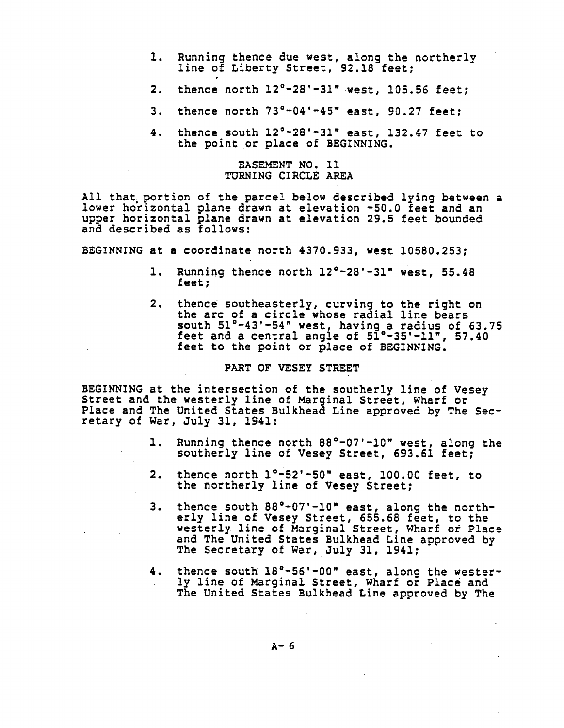- **i**. Runnin**g the**n**ce** d**ue** w**e**st, **alo**ng **the** northerly **li**n**e of Libe**rty Str**e**et, 92.18 feet;
- **2**. **t**hence north **12°**-**2**8'-**3**1" **we**st, **1**05.5**6 f**ee**t**;
- **3**. thenc**e** nor**t**h 7**3**Q-04'-4**5"** east, **9**0.**2**7 **fee**t;
- 4. th**e**nc**e** south 12°-**2**8'-**3**1**" ea**st, 1**32**.47 **fe**e**t** to the point or **p**la**ce** o**f** B**E**G**I**NN**I**NG.

### **E**AS**E**M**E**NT NO. I**I** T**U**RNING **CIR**C**LE** AR**E**A

All that portion o**f** th**e** parc**e**l **b**elow **de**s**c**rib**ed** ly**i**n**g** b**e**tw**ee**n a **l**ow**e**r horizontal plan**e d**rawn at el**e**v**a**t**i**on **-**5**0**.**0 fee**t and **a**n upp**e**r hor**i**zont**a**l **p**lane **d**rawn a**t e**l**e**vation **2**9.5 **fe**et **b**oun**d**e**d** an**d d**es**c**ribe**d** as **f**ollows:

**BEGI**NN**I**N**G** at a **c**oor**d**inat**e** north 4**3**70.9**33**, wes**t 1**058**0**.**253**;

- i. **R**unnin**g** then**c**e north 1**2°**-**2**8'-**31"** west, 55.48 **f**eet;
- **2**. **thence s**ou**thea**st**e**r**l**y**, cu**r**v**i**ng** to t**he** ri**ght on** t**h**e **a**r**c** o**f a c**ir**c**le w**h**o**s**e **rad**i**a**l line **b**e**a**r**s s**o**u**t**h 5**1**°-**4**3**'**-5**4**" w**e**s**t**, h**a**v**ing **a** r**adi**u**s of 63.75 feet a**n**d a c**ent**ra**l **a**ngle o**f 51°-35'-1**1**" , 57.**4**0 fe**et to t**h**e **po**in**t** or **plac**e o**f** B**EGINNI**N**G.**

# **PART OF VE**S**EY** S**TREET**

**BEGI**N**NI**N**G** at t**he** in**te**rs**ect**i**on** o**f** t**he** s**o**u**the**r**ly l**i**ne** o**f Vese**y Stree**t a**n**d th**e **we**s**te**r**ly li**ne o**f** Margin**al** S**t**reet**, Wha**r**f o**r **Place a**n**d The U**n**it**e**d** S**tat**e**s Bulkh**e**ad Li**n**e app**ro**v**e**d by Th**e S**ec**ret**a**ry o**f Wa**r**,** July **3**1**,** 1**9**41**:**

- 1**.** Run**n**ing **the**n**c**e nor**th 88°-07'-**1**0" west, a**l**o**n**g** t**he** s**outhe**r**l**y **line of** Ve**se**y St**reet, 6**9**3**.**61 fee**t;
- **2.** t**h**en**ce** n**o**r**th** l**°-52'-50" east,** 1**00.00 f**ee**t,** to **the no**rt**he**r**ly l**i**ne** o**f** V**e**s**e**y Str**ee**t;
- **3. th**en**c**e **s**ou**th 88°-07'-1**0**" ea**st**, alo**n**g the** n**o**r**th**er**ly line of Ve**s**ey** S**t**r**ee**t**, 655**.**68 feet,** t**o** t**he w**ester**l**y **l**i**ne of Ma**r**g**i**nal** S**t**r**ee**t**, Wha**r**f o**r **Place a**n**d The U**ni**t**e**d** S**tat**es B**ulkhe**a**d L**in**e ap**pr**ov**e**d by Th**e Se**c**ret**a**r**y** o**f Wa**r**, J**u**l**y **3**1, **194**1**;**
- 4**. thence** so**uth 18°-56'-00" east, al**on**g** t**h**e **weste**r**ly l**in**e of** M**a**r**g**in**al St**ree**t, Wha**r**f o**r **P**l**ac**e **a**n**d Th**e **Unit**e**d** S**ta**t**es B**u**lkh**e**ad L**ine **ap**pr**oved by Th**e

A**-6**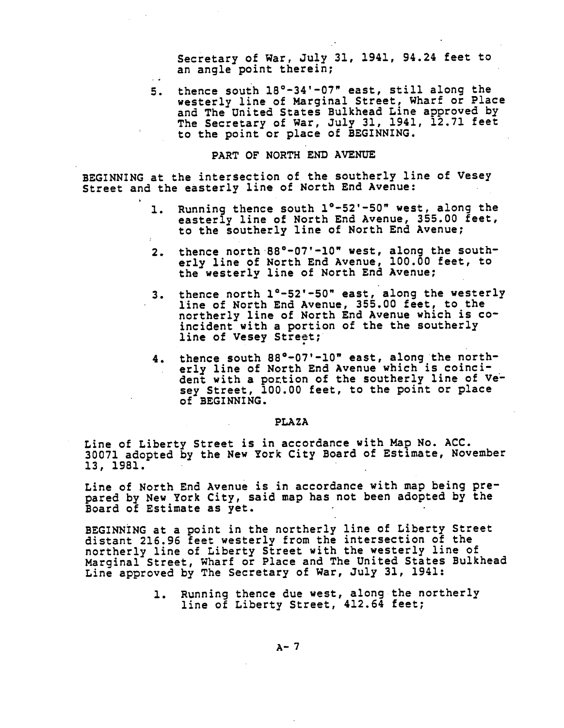Se**cr**et**a**r**y** o**f** War, J**u**l**y 31**, **194**1, 9**4**.**24 f**e**e**t to **a**n **angle point therein;** 

5. **t**henc**e s**outh 18°**-3**4'-**0**7**"** e**a**st, st**i**ll along the west**e**rly lin**e** o**f** Mar**g**inal Str**e**et, Whar**f** or **P**lace an**d** The Unite**d** States Bulkh**e**a**d** L**i**ne approve**d** by The Se**c**r**e**tary o**f** War, **J**uly 31, **1**941, 12.71 **fee**t to **t**h**e poi**nt **o**r **p**l**ace** o**f** B**E**G**I**NN**I**N**G**.

# **PART O**F **NO**R**TH END AVENUE**

B**EGINNING a**t t**he** in**te**rs**ec**tion o**f** t**he** sout**he**r**ly l**in**e of V**es**e**y Str**ee**t **a**n**d** t**he eas**ter**ly li**n**e** o**f No**rt**h E**n**d Ave**nu**e:**

- **I. Ru**n**n**ing th**e**n**c**e so**u**t**h i**°**-52'-50" we**st**, a**l**o**ng t**he ea**st**e**r**l**y **l**i**ne** o**f N**ort**h** En**d Ave**nu**e, 355.00 fe**et**,** to **the** sout**he**r**ly l**i**ne** o**f N**or**th** En**d Ave**n**ue;**
- **2**. t**he**n**ce** nort**h 88**°-0**7**'-**i0" we**st, **al**on**g** t**h**e s**o**ut**h**erl**y li**n**e** o**f** Nor**t**h **E**n**d** Av**e**nue, **I**00.00 **fe**e**t**, to t**he** w**e**st**e**r**l**y l**i**n**e** o**f** Nort**h E**nd Av**e**n**u**e**;**
- **3**. t**he**n**c**e nort**h I**Q**-52**'**-50" ea**st, **al**ong **the** w**e**st**e**r**l**y **l**in**e** o**f N**ort**h** E**nd Ave**nu**e, 355.00 fee**t**,** to t**h**e **n**ort**h**erl**y l**in**e** o**f N**ort**h E**n**d A**v**e**n**ue which** is co**inc**i**de**n**t** w**i**t**h a p**ort**i**on o**f** t**h**e t**h**e sout**h**erly **line** o**f Ve**s**ey** St**re**et;
- **4. th**en**ce** sout**h 88**°**-07**'**-i0" e**a**st, al**on**g** t**he n**or**the**r**l**y **line of N**ort**h** E**nd A**v**e**n**ue wh**i**ch** i**s c**oin**c**i**de**nt **w**it**h a po**[tio**n** o**f the** sou**the**rl**y li**n**e** o**f Ve**s**e**y Str**ee**t**,** 1**00.00 f**e**e**t**,** to **the p**o**int** or **place of BEGI**N**NI**N**G.**

#### **PLAZA**

**L**in**e of L**iber**ty** S**t**r**eet i**s i**n acc**or**da**n**ce w**i**th** Map **No. ACC. 300**7**1 adop**te**d by the New Y**or**k City B**o**a**r**d of E**st**ima**te, **Novemb**er 1**3,** 1**981.**

**Line** o**f No**rt**h E**n**d Ave**nu**e** i**s** i**n acc**o**rda**n**ce w**it**h** m**a**p **being p**r**epa**r**ed by N**e**w Y**or**k Ci**t**y,** s**aid** map **ha**s **n**ot **bee**n **ado**pte**d by** t**he** B**oa**r**d of E**sti**ma**te **as ye**t**.**

**BEGI**N**NI**N**G at a po**i**n**t **i**n t**he no**r**the**r**ly line** o**f L**i**be**rt**y** Str**e**et di**s**t**a**nt **21**6**.96 f**eet **we**s**t**er**ly f**r**om the** in**te**rs**ec**ti**o**n **of** t**he** n**o**rt**he**r**ly line of Li**b**e**r**ty** Str**eet with** t**he we**st**e**r**ly l**i**ne of** Mar**g**i**nal** S**t**re**et, Wha**r**f o**r **P**l**ac**e **a**n**d The U**nite**d** S**tates B**u**l**k**h**e**ad L**ine **ap**pr**o**ve**d by The** Se**c**r**e**t**a**r**y** o**f Wa**r**,** July **3**1**,** 1**9**41**:**

> **I. R**un**n**in**g th**en**c**e **d**ue **w**e**st, alo**n**g th**e n**o**r**th**er**l**y **lin**e **of Lib**ert**y** Str**e**e**t,** 4**12**.**6**4 **fe**e**t**;

> > A**-7**